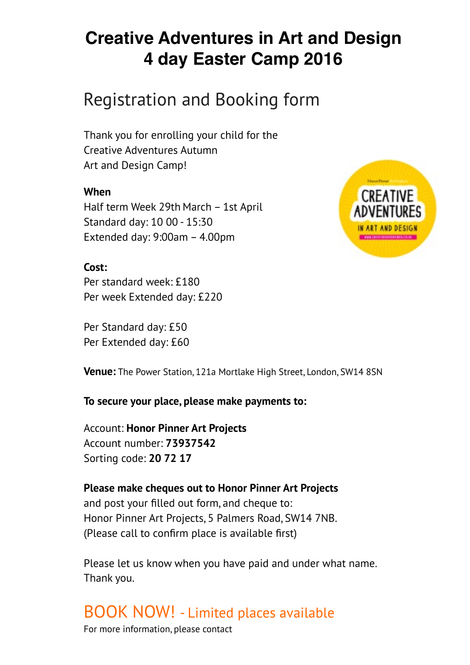## Registration and Booking form

Thank you for enrolling your child for the Creative Adventures Autumn Art and Design Camp!

### **When**

Half term Week 29th March – 1st April Standard day: 10 00 - 15:30 Extended day: 9:00am – 4.00pm



### **Cost:**

Per standard week: £180 Per week Extended day: £220

Per Standard day: £50 Per Extended day: £60

**Venue:** The Power Station, 121a Mortlake High Street, London, SW14 8SN

### **To secure your place, please make payments to:**

Account: **Honor Pinner Art Projects**  Account number: **73937542**  Sorting code: **20 72 17** 

**Please make cheques out to Honor Pinner Art Projects**  and post your filled out form, and cheque to: Honor Pinner Art Projects, 5 Palmers Road, SW14 7NB. (Please call to confirm place is available first)

Please let us know when you have paid and under what name. Thank you.

# BOOK NOW! - Limited places available For more information, please contact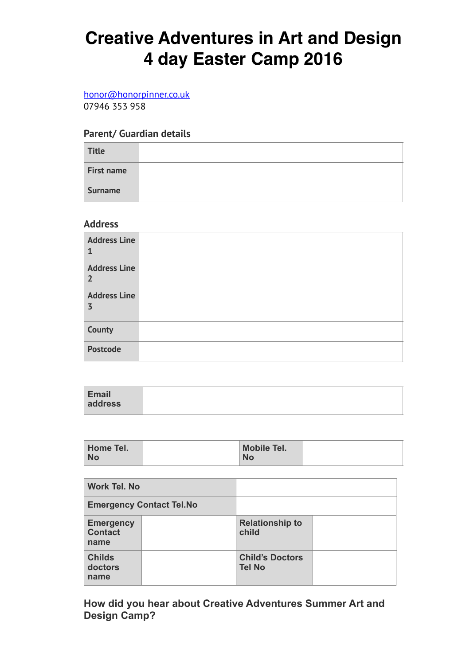### [honor@honorpinner.co.uk](mailto:honor@honorpinner.co.uk)

07946 353 958

### **Parent/ Guardian details**

| Title             |  |
|-------------------|--|
| <b>First name</b> |  |
| <b>Surname</b>    |  |

### **Address**

| <b>Address Line</b>                   |  |
|---------------------------------------|--|
| <b>Address Line</b><br>$\overline{2}$ |  |
| <b>Address Line</b><br>$\overline{3}$ |  |
| <b>County</b>                         |  |
| <b>Postcode</b>                       |  |

| <b>Email</b><br>address |  |
|-------------------------|--|

| Home Tel. | <b>Mobile Tel.</b> |  |
|-----------|--------------------|--|
| No        | <b>No</b>          |  |

| <b>Work Tel. No</b>                        |                                 |                                         |  |
|--------------------------------------------|---------------------------------|-----------------------------------------|--|
|                                            | <b>Emergency Contact Tel.No</b> |                                         |  |
| <b>Emergency</b><br><b>Contact</b><br>name |                                 | <b>Relationship to</b><br>child         |  |
| <b>Childs</b><br>doctors<br>name           |                                 | <b>Child's Doctors</b><br><b>Tel No</b> |  |

**How did you hear about Creative Adventures Summer Art and Design Camp?**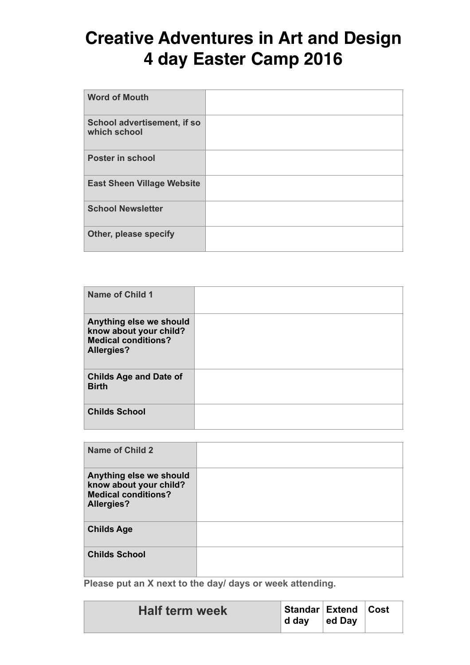| <b>Word of Mouth</b>                        |  |
|---------------------------------------------|--|
| School advertisement, if so<br>which school |  |
| <b>Poster in school</b>                     |  |
| <b>East Sheen Village Website</b>           |  |
| <b>School Newsletter</b>                    |  |
| Other, please specify                       |  |

| <b>Name of Child 1</b>                                                                               |  |
|------------------------------------------------------------------------------------------------------|--|
| Anything else we should<br>know about your child?<br><b>Medical conditions?</b><br><b>Allergies?</b> |  |
| <b>Childs Age and Date of</b><br><b>Birth</b>                                                        |  |
| <b>Childs School</b>                                                                                 |  |

| Name of Child 2                                                                                      |  |
|------------------------------------------------------------------------------------------------------|--|
| Anything else we should<br>know about your child?<br><b>Medical conditions?</b><br><b>Allergies?</b> |  |
| <b>Childs Age</b>                                                                                    |  |
| <b>Childs School</b>                                                                                 |  |

**Please put an X next to the day/ days or week attending.** 

| <b>Half term week</b> | Standar   Extend   Cost<br>∣ d dav | $ $ ed Day |  |  |
|-----------------------|------------------------------------|------------|--|--|
|-----------------------|------------------------------------|------------|--|--|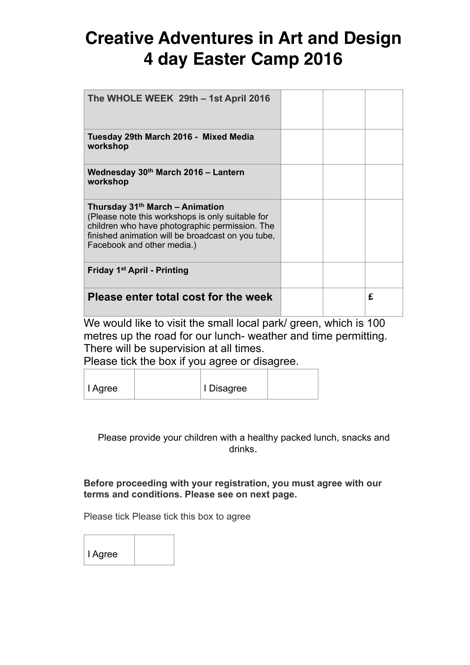| The WHOLE WEEK 29th - 1st April 2016                                                                                                                                                                                     |  |   |
|--------------------------------------------------------------------------------------------------------------------------------------------------------------------------------------------------------------------------|--|---|
| Tuesday 29th March 2016 - Mixed Media<br>workshop                                                                                                                                                                        |  |   |
| Wednesday 30th March 2016 - Lantern<br>workshop                                                                                                                                                                          |  |   |
| Thursday 31th March - Animation<br>(Please note this workshops is only suitable for<br>children who have photographic permission. The<br>finished animation will be broadcast on you tube,<br>Facebook and other media.) |  |   |
| Friday 1 <sup>st</sup> April - Printing                                                                                                                                                                                  |  |   |
| Please enter total cost for the week<br><b>A</b>                                                                                                                                                                         |  | £ |

We would like to visit the small local park/ green, which is 100 metres up the road for our lunch- weather and time permitting. There will be supervision at all times.

Please tick the box if you agree or disagree.

| I Agree | I Disagree |  |
|---------|------------|--|

Please provide your children with a healthy packed lunch, snacks and drinks.

**Before proceeding with your registration, you must agree with our terms and conditions. Please see on next page.** 

Please tick Please tick this box to agree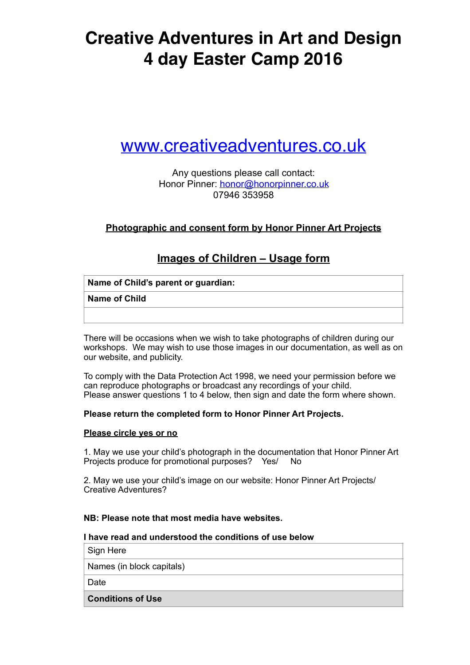## [www.creativeadventures.co.uk](http://www.creativeadventures.co.uk)

Any questions please call contact: Honor Pinner: [honor@honorpinner.co.uk](mailto:honor@honorpinner.co.uk) 07946 353958

### **Photographic and consent form by Honor Pinner Art Projects**

### **Images of Children – Usage form**

|  |  |  |  |  | Name of Child's parent or guardian: |
|--|--|--|--|--|-------------------------------------|
|--|--|--|--|--|-------------------------------------|

#### **Name of Child**

There will be occasions when we wish to take photographs of children during our workshops. We may wish to use those images in our documentation, as well as on our website, and publicity.

To comply with the Data Protection Act 1998, we need your permission before we can reproduce photographs or broadcast any recordings of your child. Please answer questions 1 to 4 below, then sign and date the form where shown.

### **Please return the completed form to Honor Pinner Art Projects.**

#### **Please circle yes or no**

1. May we use your child's photograph in the documentation that Honor Pinner Art Projects produce for promotional purposes? Yes/ No

2. May we use your child's image on our website: Honor Pinner Art Projects/ Creative Adventures?

### **NB: Please note that most media have websites.**

#### **I have read and understood the conditions of use below**

Sign Here

Names (in block capitals)

**Date** 

**Conditions of Use**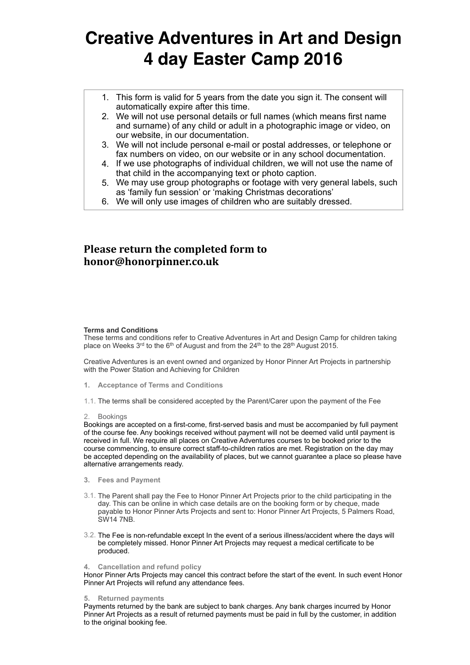- 1. This form is valid for 5 years from the date you sign it. The consent will automatically expire after this time.
- 2. We will not use personal details or full names (which means first name and surname) of any child or adult in a photographic image or video, on our website, in our documentation.
- 3. We will not include personal e-mail or postal addresses, or telephone or fax numbers on video, on our website or in any school documentation.
- 4. If we use photographs of individual children, we will not use the name of that child in the accompanying text or photo caption.
- 5. We may use group photographs or footage with very general labels, such as 'family fun session' or 'making Christmas decorations'
- 6. We will only use images of children who are suitably dressed.

### **Please return the completed form to honor@honorpinner.co.uk**

#### **Terms and Conditions**

These terms and conditions refer to Creative Adventures in Art and Design Camp for children taking place on Weeks  $3^{rd}$  to the 6<sup>th</sup> of August and from the  $24^{th}$  to the  $28^{th}$  August 2015.

Creative Adventures is an event owned and organized by Honor Pinner Art Projects in partnership with the Power Station and Achieving for Children

- **1. Acceptance of Terms and Conditions**
- 1.1. The terms shall be considered accepted by the Parent/Carer upon the payment of the Fee

#### 2. Bookings

Bookings are accepted on a first-come, first-served basis and must be accompanied by full payment of the course fee. Any bookings received without payment will not be deemed valid until payment is received in full. We require all places on Creative Adventures courses to be booked prior to the course commencing, to ensure correct staff-to-children ratios are met. Registration on the day may be accepted depending on the availability of places, but we cannot guarantee a place so please have alternative arrangements ready.

- **3. Fees and Payment**
- 3.1. The Parent shall pay the Fee to Honor Pinner Art Projects prior to the child participating in the day. This can be online in which case details are on the booking form or by cheque, made payable to Honor Pinner Arts Projects and sent to: Honor Pinner Art Projects, 5 Palmers Road, SW14 7NB.
- 3.2. The Fee is non-refundable except In the event of a serious illness/accident where the days will be completely missed. Honor Pinner Art Projects may request a medical certificate to be produced.

#### **4. Cancellation and refund policy**

Honor Pinner Arts Projects may cancel this contract before the start of the event. In such event Honor Pinner Art Projects will refund any attendance fees.

#### **5. Returned payments**

Payments returned by the bank are subject to bank charges. Any bank charges incurred by Honor Pinner Art Projects as a result of returned payments must be paid in full by the customer, in addition to the original booking fee.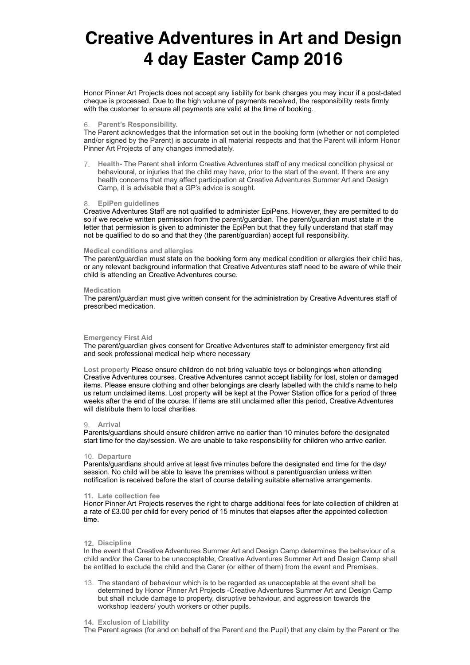Honor Pinner Art Projects does not accept any liability for bank charges you may incur if a post-dated cheque is processed. Due to the high volume of payments received, the responsibility rests firmly with the customer to ensure all payments are valid at the time of booking.

#### 6. **Parent's Responsibility.**

The Parent acknowledges that the information set out in the booking form (whether or not completed and/or signed by the Parent) is accurate in all material respects and that the Parent will inform Honor Pinner Art Projects of any changes immediately.

7. **Health-** The Parent shall inform Creative Adventures staff of any medical condition physical or behavioural, or injuries that the child may have, prior to the start of the event. If there are any health concerns that may affect participation at Creative Adventures Summer Art and Design Camp, it is advisable that a GP's advice is sought.

#### 8. **EpiPen guidelines**

Creative Adventures Staff are not qualified to administer EpiPens. However, they are permitted to do so if we receive written permission from the parent/quardian. The parent/quardian must state in the letter that permission is given to administer the EpiPen but that they fully understand that staff may not be qualified to do so and that they (the parent/guardian) accept full responsibility.

#### **Medical conditions and allergies**

The parent/guardian must state on the booking form any medical condition or allergies their child has, or any relevant background information that Creative Adventures staff need to be aware of while their child is attending an Creative Adventures course.

#### **Medication**

The parent/guardian must give written consent for the administration by Creative Adventures staff of prescribed medication.

#### **Emergency First Aid**

The parent/guardian gives consent for Creative Adventures staff to administer emergency first aid and seek professional medical help where necessary

**Lost property** Please ensure children do not bring valuable toys or belongings when attending Creative Adventures courses. Creative Adventures cannot accept liability for lost, stolen or damaged items. Please ensure clothing and other belongings are clearly labelled with the child's name to help us return unclaimed items. Lost property will be kept at the Power Station office for a period of three weeks after the end of the course. If items are still unclaimed after this period, Creative Adventures will distribute them to local charities.

#### 9. **Arrival**

Parents/guardians should ensure children arrive no earlier than 10 minutes before the designated start time for the day/session. We are unable to take responsibility for children who arrive earlier.

#### 10. **Departure**

Parents/guardians should arrive at least five minutes before the designated end time for the day/ session. No child will be able to leave the premises without a parent/guardian unless written notification is received before the start of course detailing suitable alternative arrangements.

#### **11. Late collection fee**

Honor Pinner Art Projects reserves the right to charge additional fees for late collection of children at a rate of £3.00 per child for every period of 15 minutes that elapses after the appointed collection time.

#### **12. Discipline**

In the event that Creative Adventures Summer Art and Design Camp determines the behaviour of a child and/or the Carer to be unacceptable, Creative Adventures Summer Art and Design Camp shall be entitled to exclude the child and the Carer (or either of them) from the event and Premises.

13. The standard of behaviour which is to be regarded as unacceptable at the event shall be determined by Honor Pinner Art Projects -Creative Adventures Summer Art and Design Camp but shall include damage to property, disruptive behaviour, and aggression towards the workshop leaders/ youth workers or other pupils.

#### **14. Exclusion of Liability**

The Parent agrees (for and on behalf of the Parent and the Pupil) that any claim by the Parent or the